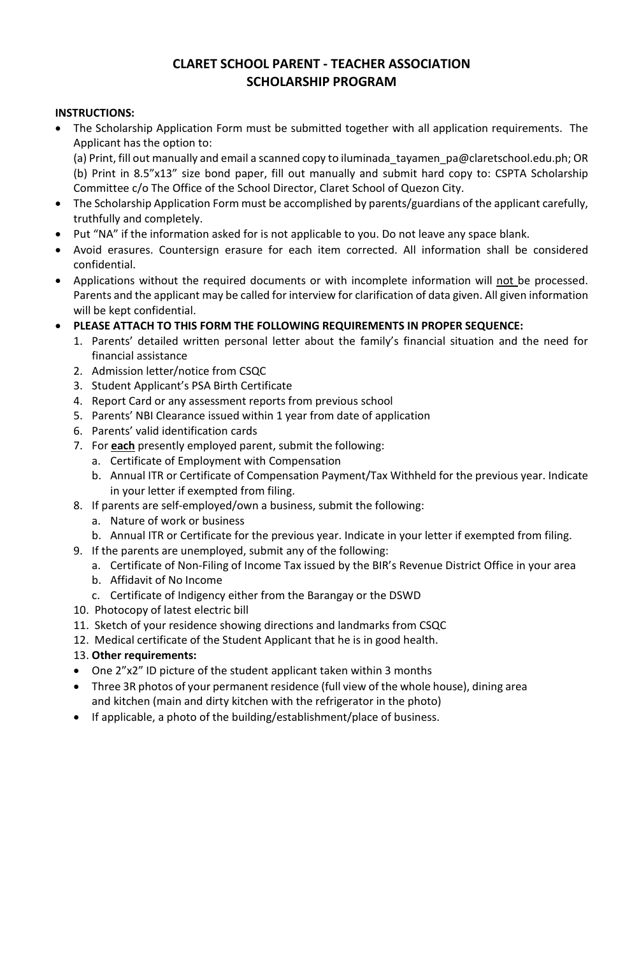# **CLARET SCHOOL PARENT - TEACHER ASSOCIATION SCHOLARSHIP PROGRAM**

### **INSTRUCTIONS:**

• The Scholarship Application Form must be submitted together with all application requirements. The Applicant has the option to:

(a) Print, fill out manually and email a scanned copy to iluminada\_tayamen\_pa@claretschool.edu.ph; OR (b) Print in 8.5"x13" size bond paper, fill out manually and submit hard copy to: CSPTA Scholarship Committee c/o The Office of the School Director, Claret School of Quezon City.

- The Scholarship Application Form must be accomplished by parents/guardians of the applicant carefully, truthfully and completely.
- Put "NA" if the information asked for is not applicable to you. Do not leave any space blank.
- Avoid erasures. Countersign erasure for each item corrected. All information shall be considered confidential.
- Applications without the required documents or with incomplete information will not be processed. Parents and the applicant may be called for interview for clarification of data given. All given information will be kept confidential.
- **PLEASE ATTACH TO THIS FORM THE FOLLOWING REQUIREMENTS IN PROPER SEQUENCE:**
	- 1. Parents' detailed written personal letter about the family's financial situation and the need for financial assistance
	- 2. Admission letter/notice from CSQC
	- 3. Student Applicant's PSA Birth Certificate
	- 4. Report Card or any assessment reports from previous school
	- 5. Parents' NBI Clearance issued within 1 year from date of application
	- 6. Parents' valid identification cards
	- 7. For **each** presently employed parent, submit the following:
		- a. Certificate of Employment with Compensation
		- b. Annual ITR or Certificate of Compensation Payment/Tax Withheld for the previous year. Indicate in your letter if exempted from filing.
	- 8. If parents are self-employed/own a business, submit the following:
		- a. Nature of work or business
		- b. Annual ITR or Certificate for the previous year. Indicate in your letter if exempted from filing.
	- 9. If the parents are unemployed, submit any of the following:
		- a. Certificate of Non-Filing of Income Tax issued by the BIR's Revenue District Office in your area
		- b. Affidavit of No Income
		- c. Certificate of Indigency either from the Barangay or the DSWD
	- 10. Photocopy of latest electric bill
	- 11. Sketch of your residence showing directions and landmarks from CSQC
	- 12. Medical certificate of the Student Applicant that he is in good health.

#### 13. **Other requirements:**

- One 2"x2" ID picture of the student applicant taken within 3 months
- Three 3R photos of your permanent residence (full view of the whole house), dining area and kitchen (main and dirty kitchen with the refrigerator in the photo)
- If applicable, a photo of the building/establishment/place of business.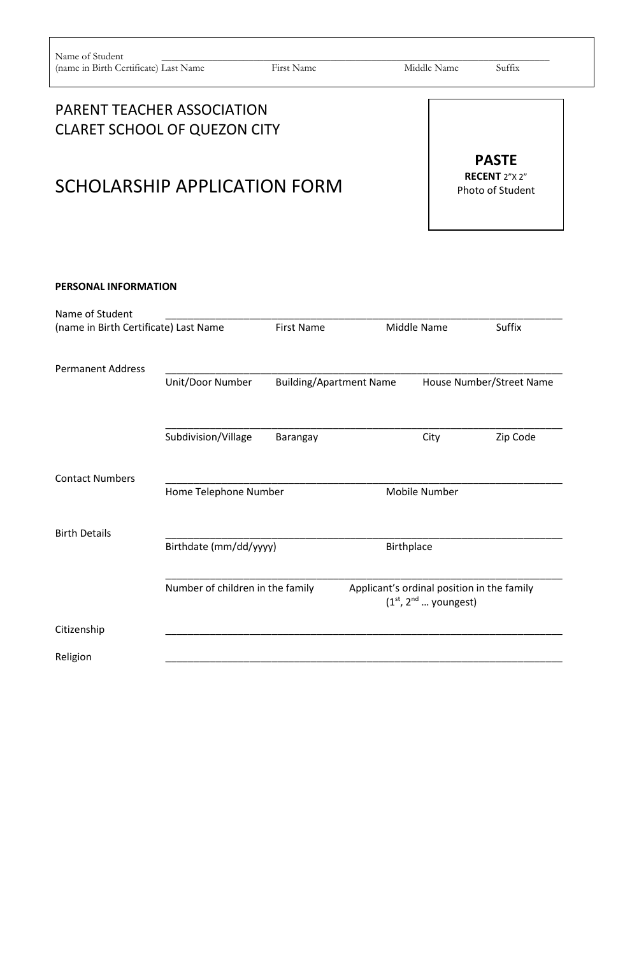# PARENT TEACHER ASSOCIATION CLARET SCHOOL OF QUEZON CITY

# SCHOLARSHIP APPLICATION FORM

| <b>PASTE</b>              |
|---------------------------|
| <b>RECENT</b> $2^n$ $2^n$ |
| <b>Photo of Student</b>   |

#### **PERSONAL INFORMATION**

| Name of Student                       |                                  |                   |                                |                        |                                            |
|---------------------------------------|----------------------------------|-------------------|--------------------------------|------------------------|--------------------------------------------|
| (name in Birth Certificate) Last Name |                                  | <b>First Name</b> |                                | Middle Name            | Suffix                                     |
| <b>Permanent Address</b>              |                                  |                   |                                |                        |                                            |
|                                       | Unit/Door Number                 |                   | <b>Building/Apartment Name</b> |                        | House Number/Street Name                   |
|                                       | Subdivision/Village              | Barangay          |                                | City                   | Zip Code                                   |
| <b>Contact Numbers</b>                | Home Telephone Number            |                   |                                | <b>Mobile Number</b>   |                                            |
| <b>Birth Details</b>                  |                                  |                   |                                |                        |                                            |
|                                       | Birthdate (mm/dd/yyyy)           |                   | Birthplace                     |                        |                                            |
|                                       | Number of children in the family |                   |                                | $(1st, 2nd $ youngest) | Applicant's ordinal position in the family |
| Citizenship                           |                                  |                   |                                |                        |                                            |
| Religion                              |                                  |                   |                                |                        |                                            |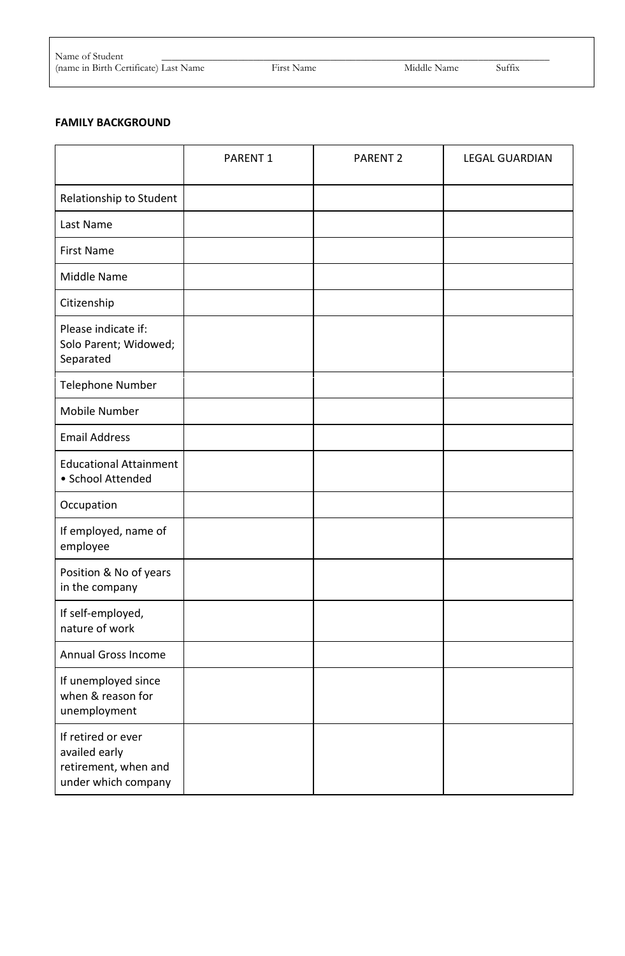| Name c<br>Studeni<br>ЭI                                                   |         |         |        |  |
|---------------------------------------------------------------------------|---------|---------|--------|--|
| (name in<br>$\ldots$ in Birth $C$ eri T<br>`ertiticate).<br>. ast<br>Name | 900 كىل | -VHOOLE | $\sim$ |  |

(e) Last Name First Name First Name Middle Name Suffix

#### **FAMILY BACKGROUND**

|                                                                                    | PARENT <sub>1</sub> | PARENT <sub>2</sub> | <b>LEGAL GUARDIAN</b> |
|------------------------------------------------------------------------------------|---------------------|---------------------|-----------------------|
| Relationship to Student                                                            |                     |                     |                       |
| Last Name                                                                          |                     |                     |                       |
| <b>First Name</b>                                                                  |                     |                     |                       |
| Middle Name                                                                        |                     |                     |                       |
| Citizenship                                                                        |                     |                     |                       |
| Please indicate if:<br>Solo Parent; Widowed;<br>Separated                          |                     |                     |                       |
| Telephone Number                                                                   |                     |                     |                       |
| Mobile Number                                                                      |                     |                     |                       |
| <b>Email Address</b>                                                               |                     |                     |                       |
| <b>Educational Attainment</b><br>· School Attended                                 |                     |                     |                       |
| Occupation                                                                         |                     |                     |                       |
| If employed, name of<br>employee                                                   |                     |                     |                       |
| Position & No of years<br>in the company                                           |                     |                     |                       |
| If self-employed,<br>nature of work                                                |                     |                     |                       |
| <b>Annual Gross Income</b>                                                         |                     |                     |                       |
| If unemployed since<br>when & reason for<br>unemployment                           |                     |                     |                       |
| If retired or ever<br>availed early<br>retirement, when and<br>under which company |                     |                     |                       |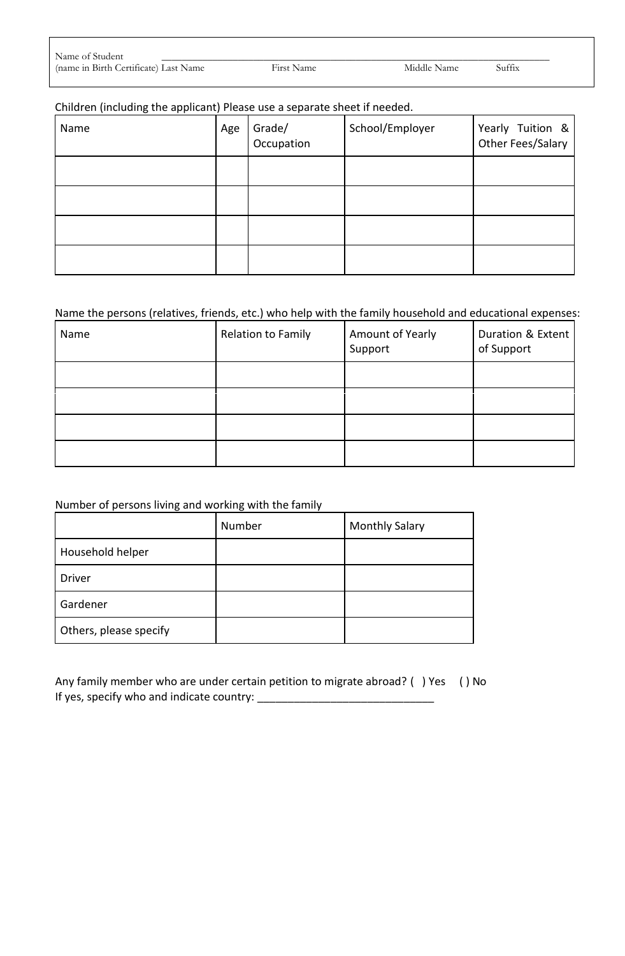| Name of Student                       |                   |             |        |  |
|---------------------------------------|-------------------|-------------|--------|--|
| (name in Birth Certificate) Last Name | <b>First Name</b> | Middle Name | Suffix |  |

First Name **in Birth Certificate** Certificate Suffix

# Children (including the applicant) Please use a separate sheet if needed.

| Name | Age | Grade/<br>Occupation | School/Employer | Yearly Tuition &<br>Other Fees/Salary |
|------|-----|----------------------|-----------------|---------------------------------------|
|      |     |                      |                 |                                       |
|      |     |                      |                 |                                       |
|      |     |                      |                 |                                       |
|      |     |                      |                 |                                       |

# Name the persons (relatives, friends, etc.) who help with the family household and educational expenses:

| Name | Relation to Family | Amount of Yearly<br>Support | Duration & Extent<br>of Support |
|------|--------------------|-----------------------------|---------------------------------|
|      |                    |                             |                                 |
|      |                    |                             |                                 |
|      |                    |                             |                                 |
|      |                    |                             |                                 |

#### Number of persons living and working with the family

|                        | Number | <b>Monthly Salary</b> |
|------------------------|--------|-----------------------|
| Household helper       |        |                       |
| <b>Driver</b>          |        |                       |
| Gardener               |        |                       |
| Others, please specify |        |                       |

| Any family member who are under certain petition to migrate abroad? () Yes () No |  |
|----------------------------------------------------------------------------------|--|
| If yes, specify who and indicate country:                                        |  |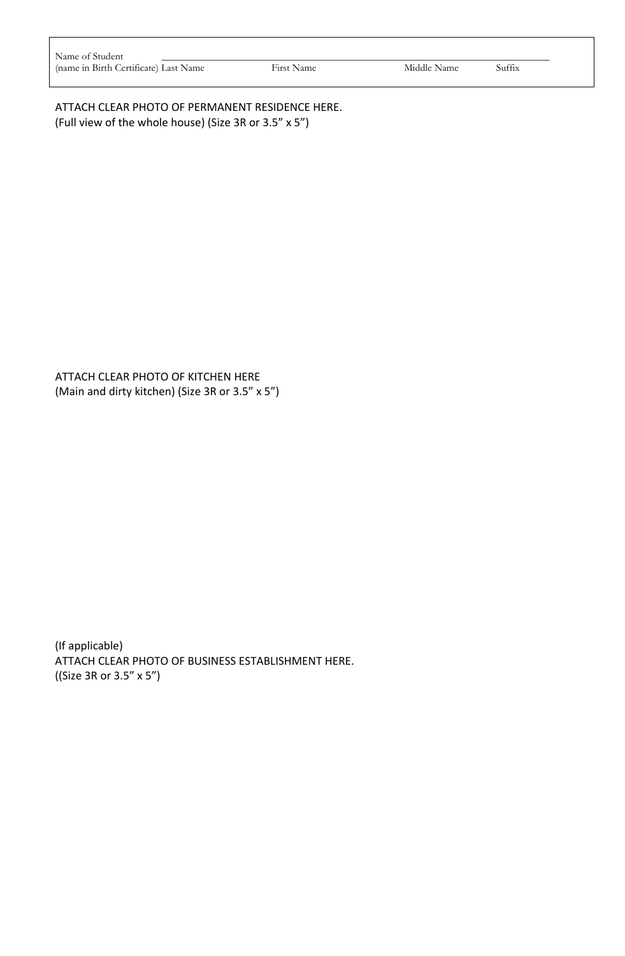| Name of Student                       |            |             |        |
|---------------------------------------|------------|-------------|--------|
| (name in Birth Certificate) Last Name | First Name | Middle Name | Suffix |

ATTACH CLEAR PHOTO OF PERMANENT RESIDENCE HERE. (Full view of the whole house) (Size 3R or 3.5" x 5")

ATTACH CLEAR PHOTO OF KITCHEN HERE (Main and dirty kitchen) (Size 3R or 3.5" x 5")

(If applicable) ATTACH CLEAR PHOTO OF BUSINESS ESTABLISHMENT HERE. ((Size 3R or 3.5" x 5")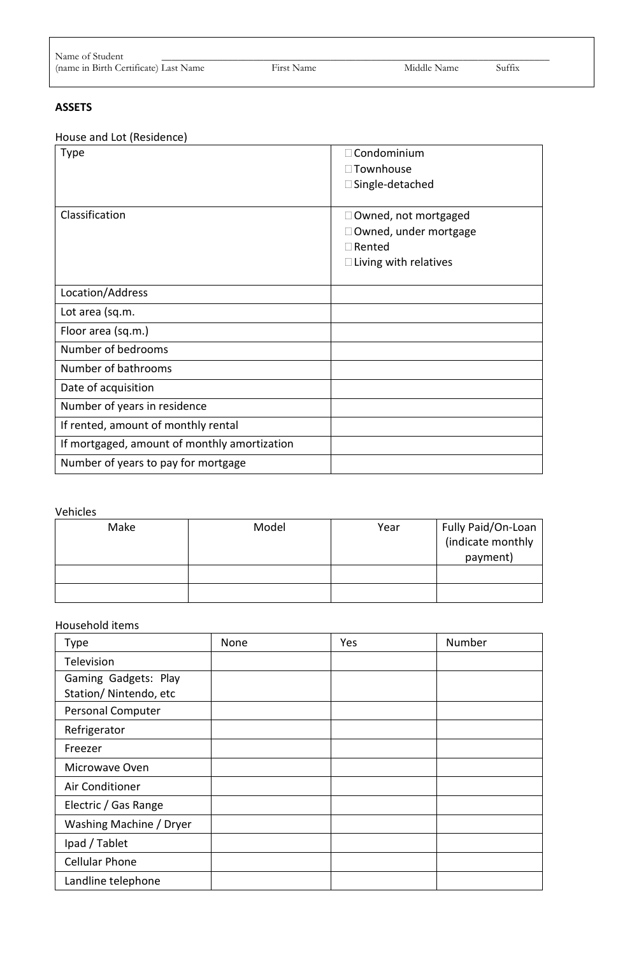| Name of Student                       |            |             |        |
|---------------------------------------|------------|-------------|--------|
| (name in Birth Certificate) Last Name | First Name | Middle Name | Suffix |

## **ASSETS**

House and Lot (Residence)

| House and Lot (Residence)                    |                              |
|----------------------------------------------|------------------------------|
| <b>Type</b>                                  | $\exists$ Condominium        |
|                                              | □ Townhouse                  |
|                                              | □ Single-detached            |
|                                              |                              |
| Classification                               | $\Box$ Owned, not mortgaged  |
|                                              | Owned, under mortgage        |
|                                              | $\Box$ Rented                |
|                                              | $\Box$ Living with relatives |
|                                              |                              |
| Location/Address                             |                              |
| Lot area (sq.m.                              |                              |
| Floor area (sq.m.)                           |                              |
| Number of bedrooms                           |                              |
| Number of bathrooms                          |                              |
| Date of acquisition                          |                              |
| Number of years in residence                 |                              |
| If rented, amount of monthly rental          |                              |
| If mortgaged, amount of monthly amortization |                              |
| Number of years to pay for mortgage          |                              |

#### Vehicles

| Make | Model | Year | Fully Paid/On-Loan<br>(indicate monthly<br>payment) |
|------|-------|------|-----------------------------------------------------|
|      |       |      |                                                     |

#### Household items

| Type                                          | None | Yes | Number |
|-----------------------------------------------|------|-----|--------|
| Television                                    |      |     |        |
| Gaming Gadgets: Play<br>Station/Nintendo, etc |      |     |        |
| Personal Computer                             |      |     |        |
| Refrigerator                                  |      |     |        |
| Freezer                                       |      |     |        |
| Microwave Oven                                |      |     |        |
| Air Conditioner                               |      |     |        |
| Electric / Gas Range                          |      |     |        |
| Washing Machine / Dryer                       |      |     |        |
| Ipad / Tablet                                 |      |     |        |
| <b>Cellular Phone</b>                         |      |     |        |
| Landline telephone                            |      |     |        |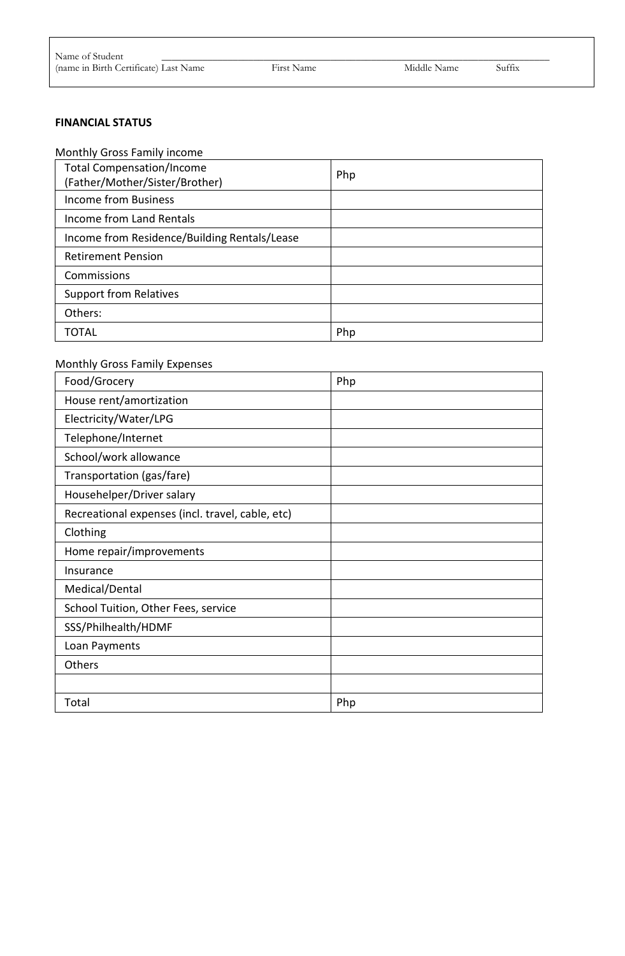#### **FINANCIAL STATUS**

#### Monthly Gross Family income

| <b>Total Compensation/Income</b><br>(Father/Mother/Sister/Brother) | Php |
|--------------------------------------------------------------------|-----|
| <b>Income from Business</b>                                        |     |
| Income from Land Rentals                                           |     |
| Income from Residence/Building Rentals/Lease                       |     |
| <b>Retirement Pension</b>                                          |     |
| Commissions                                                        |     |
| <b>Support from Relatives</b>                                      |     |
| Others:                                                            |     |
| TOTAL                                                              | Php |

#### Monthly Gross Family Expenses

| Food/Grocery                                     | Php |
|--------------------------------------------------|-----|
| House rent/amortization                          |     |
| Electricity/Water/LPG                            |     |
| Telephone/Internet                               |     |
| School/work allowance                            |     |
| Transportation (gas/fare)                        |     |
| Househelper/Driver salary                        |     |
| Recreational expenses (incl. travel, cable, etc) |     |
| Clothing                                         |     |
| Home repair/improvements                         |     |
| Insurance                                        |     |
| Medical/Dental                                   |     |
| School Tuition, Other Fees, service              |     |
| SSS/Philhealth/HDMF                              |     |
| Loan Payments                                    |     |
| Others                                           |     |
|                                                  |     |
| Total                                            | Php |